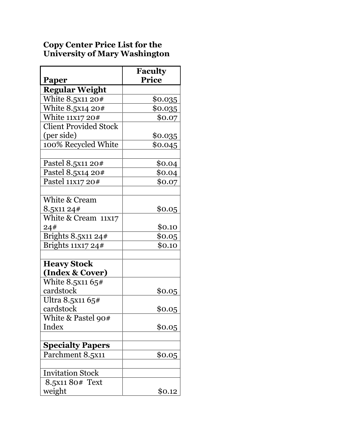## **Copy Center Price List for the University of Mary Washington**

| Paper                        | <b>Faculty</b><br><b>Price</b> |
|------------------------------|--------------------------------|
| <b>Regular Weight</b>        |                                |
| White 8.5x11 20#             | \$0. <u>035</u>                |
| White 8.5x14 20#             | \$0.035                        |
| White 11x17 20#              | \$0.07                         |
| <b>Client Provided Stock</b> |                                |
| (per side)                   | \$0.035                        |
| 100% Recycled White          | \$0.045                        |
|                              |                                |
| Pastel 8.5x11 20#            | \$0.04                         |
| Pastel 8.5x14 20#            | \$0.04                         |
| Pastel 11X17 20#             | \$0.07                         |
|                              |                                |
| White & Cream                |                                |
| 8.5x11 24#                   | \$0.05                         |
| White & Cream 11x17          |                                |
| 24#                          | \$0.10                         |
| Brights 8.5x11 24#           | \$0.05                         |
| Brights 11x17 24#            | \$0.10                         |
|                              |                                |
| <b>Heavy Stock</b>           |                                |
| (Index & Cover)              |                                |
| White 8.5x11 65#             |                                |
| cardstock                    | \$0.05                         |
| Ultra 8.5x11 65#             |                                |
| cardstock                    | \$0.05                         |
| White & Pastel 90#           |                                |
| Index                        | \$0.05                         |
|                              |                                |
| <b>Specialty Papers</b>      |                                |
| Parchment 8.5x11             | \$0.05                         |
|                              |                                |
| <b>Invitation Stock</b>      |                                |
| 8.5x11 80# Text              |                                |
| weight                       | \$0.12                         |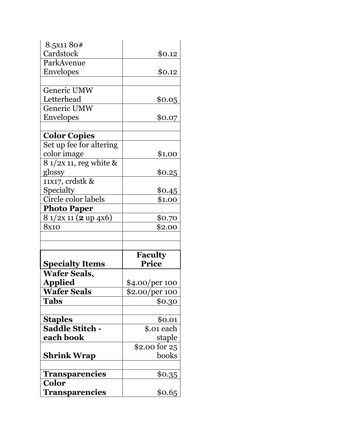| 8.5x1180#                      |                       |
|--------------------------------|-----------------------|
| Cardstock                      | \$0.12                |
| ParkAvenue                     |                       |
| <b>Envelopes</b>               | \$0.12                |
|                                |                       |
| Generic UMW                    |                       |
| Letterhead                     | \$0.05                |
| Generic UMW                    |                       |
| <b>Envelopes</b>               | \$0.07                |
|                                |                       |
| <b>Color Copies</b>            |                       |
| Set up fee for altering        |                       |
| color image                    | \$1.00                |
| 8 1/2x 11, reg white &         |                       |
| glossy                         | \$0.25                |
| 11x17, crdstk &                |                       |
| Specialty                      | \$0.45                |
| Circle color labels            | \$1.00                |
| <b>Photo Paper</b>             |                       |
|                                |                       |
| 8 1/2x 11 (2 up 4x6)           | \$0.70                |
| 8x10                           | \$2.00                |
|                                |                       |
|                                |                       |
|                                | <b>Faculty</b>        |
| <b>Specialty Items</b>         | <b>Price</b>          |
| <b>Wafer Seals,</b>            |                       |
| <b>Applied</b>                 | <u>\$4.00/per 100</u> |
| <b>Wafer Seals</b>             | \$2.00/per 100        |
| Tabs                           | \$0.30                |
|                                |                       |
| <b>Staples</b>                 | \$0.01                |
| <b>Saddle Stitch -</b>         | \$.01 each            |
| each book                      | staple                |
|                                | \$2.00 for 25         |
| <b>Shrink Wrap</b>             | books                 |
|                                |                       |
| <b>Transparencies</b>          | <u>\$0.35</u>         |
| <b>Color</b><br>Transparencies | \$0.65                |